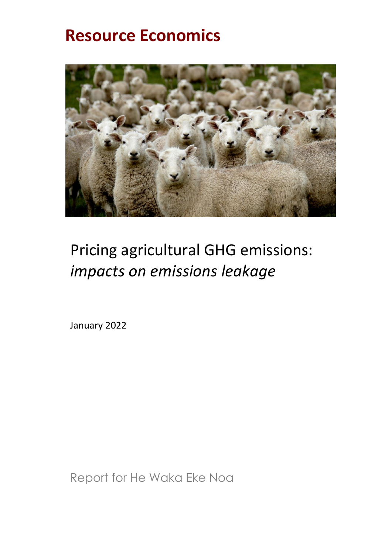# **Resource Economics**



# Pricing agricultural GHG emissions: *impacts on emissions leakage*

January 2022

Report for He Waka Eke Noa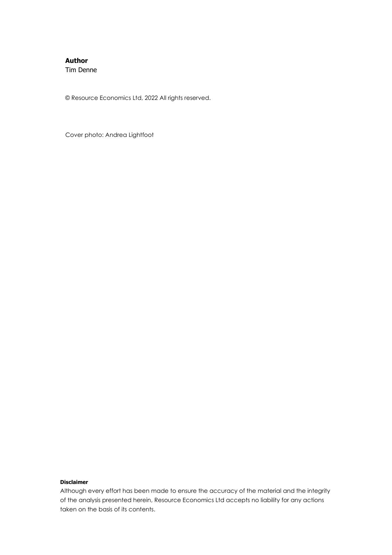#### **Author** Tim Denne

© Resource Economics Ltd, 2022 All rights reserved.

Cover photo: Andrea Lightfoot

#### **Disclaimer**

Although every effort has been made to ensure the accuracy of the material and the integrity of the analysis presented herein, Resource Economics Ltd accepts no liability for any actions taken on the basis of its contents.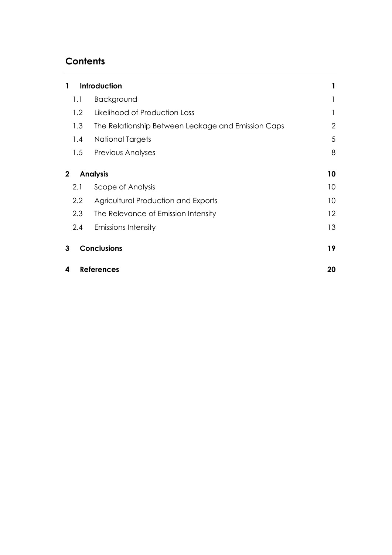# **Contents**

| 1            | Introduction |                                                    |                |  |  |
|--------------|--------------|----------------------------------------------------|----------------|--|--|
|              | 1.1          | Background                                         | 1              |  |  |
|              | 1.2          | Likelihood of Production Loss                      |                |  |  |
|              | 1.3          | The Relationship Between Leakage and Emission Caps | $\overline{2}$ |  |  |
|              | 1.4          | National Targets                                   | 5              |  |  |
|              | 1.5          | <b>Previous Analyses</b>                           | 8              |  |  |
| $\mathbf{2}$ |              | <b>Analysis</b>                                    | 10             |  |  |
|              | 2.1          | Scope of Analysis                                  | 10             |  |  |
|              | 2.2          | Agricultural Production and Exports                | 10             |  |  |
|              | 2.3          | The Relevance of Emission Intensity                | 12             |  |  |
|              | 2.4          | <b>Emissions Intensity</b>                         | 13             |  |  |
| 3            |              | <b>Conclusions</b>                                 | 19             |  |  |
| 4            |              | <b>References</b>                                  | 20             |  |  |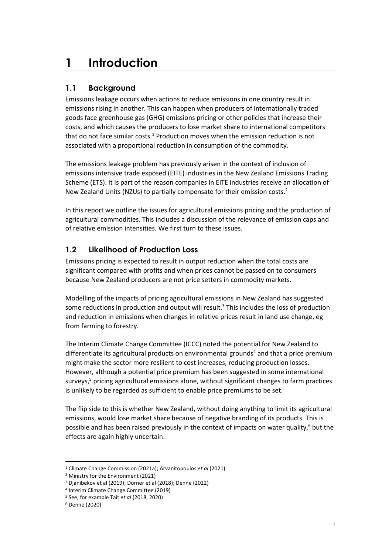# <span id="page-3-0"></span>**1 Introduction**

### <span id="page-3-1"></span>**1.1 Background**

Emissions leakage occurs when actions to reduce emissions in one country result in emissions rising in another. This can happen when producers of internationally traded goods face greenhouse gas (GHG) emissions pricing or other policies that increase their costs, and which causes the producers to lose market share to international competitors that do not face similar costs.<sup>1</sup> Production moves when the emission reduction is not associated with a proportional reduction in consumption of the commodity.

The emissions leakage problem has previously arisen in the context of inclusion of emissions intensive trade exposed (EITE) industries in the New Zealand Emissions Trading Scheme (ETS). It is part of the reason companies in EITE industries receive an allocation of New Zealand Units (NZUs) to partially compensate for their emission costs.<sup>2</sup>

In this report we outline the issues for agricultural emissions pricing and the production of agricultural commodities. This includes a discussion of the relevance of emission caps and of relative emission intensities. We first turn to these issues.

# <span id="page-3-2"></span>**1.2 Likelihood of Production Loss**

Emissions pricing is expected to result in output reduction when the total costs are significant compared with profits and when prices cannot be passed on to consumers because New Zealand producers are not price setters in commodity markets.

Modelling of the impacts of pricing agricultural emissions in New Zealand has suggested some reductions in production and output will result.<sup>3</sup> This includes the loss of production and reduction in emissions when changes in relative prices result in land use change, eg from farming to forestry.

The Interim Climate Change Committee (ICCC) noted the potential for New Zealand to differentiate its agricultural products on environmental grounds<sup>4</sup> and that a price premium might make the sector more resilient to cost increases, reducing production losses. However, although a potential price premium has been suggested in some international surveys, $5$  pricing agricultural emissions alone, without significant changes to farm practices is unlikely to be regarded as sufficient to enable price premiums to be set.

The flip side to this is whether New Zealand, without doing anything to limit its agricultural emissions, would lose market share because of negative branding of its products. This is possible and has been raised previously in the context of impacts on water quality, $<sup>6</sup>$  but the</sup> effects are again highly uncertain.

<sup>1</sup> Climate Change Commission (2021a); Arvanitopoulos *et al* (2021)

<sup>2</sup> Ministry for the Environment (2021)

<sup>3</sup> Djanibekov et al (2019); Dorner et al (2018); Denne (2022)

<sup>4</sup> Interim Climate Change Committee (2019)

<sup>5</sup> See, for example Tait *et al* (2018, 2020)

<sup>6</sup> Denne (2020)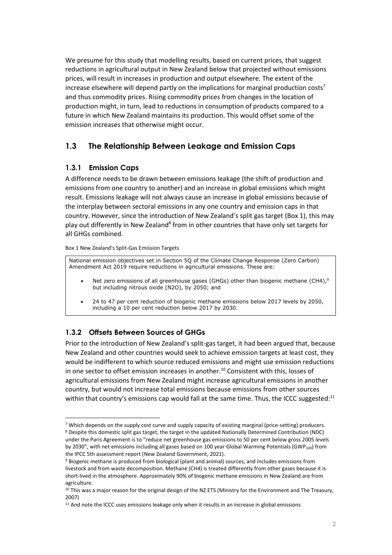We presume for this study that modelling results, based on current prices, that suggest reductions in agricultural output in New Zealand below that projected without emissions prices, will result in increases in production and output elsewhere. The extent of the increase elsewhere will depend partly on the implications for marginal production  $costs^7$ and thus commodity prices. Rising commodity prices from changes in the location of production might, in turn, lead to reductions in consumption of products compared to a future in which New Zealand maintains its production. This would offset some of the emission increases that otherwise might occur.

#### <span id="page-4-0"></span>**1.3 The Relationship Between Leakage and Emission Caps**

#### **1.3.1 Emission Caps**

A difference needs to be drawn between emissions leakage (the shift of production and emissions from one country to another) and an increase in global emissions which might result. Emissions leakage will not always cause an increase in global emissions because of the interplay between sectoral emissions in any one country and emission caps in that country. However, since the introduction of New Zealand's split gas target [\(Box 1\)](#page-4-1), this may play out differently in New Zealand<sup>8</sup> from in other countries that have only set targets for all GHGs combined.

<span id="page-4-1"></span>Box 1 New Zealand's Split-Gas Emission Targets

National emission objectives set in Section 5Q of the Climate Change Response (Zero Carbon) Amendment Act 2019 require reductions in agricultural emissions. These are:

- Net zero emissions of all greenhouse gases (GHGs) other than biogenic methane (CH4), $9$ but including nitrous oxide (N2O), by 2050; and
- 24 to 47 per cent reduction of biogenic methane emissions below 2017 levels by 2050, including a 10 per cent reduction below 2017 by 2030.

#### **1.3.2 Offsets Between Sources of GHGs**

Prior to the introduction of New Zealand's split-gas target, it had been argued that, because New Zealand and other countries would seek to achieve emission targets at least cost, they would be indifferent to which source reduced emissions and might use emission reductions in one sector to offset emission increases in another.<sup>10</sup> Consistent with this, losses of agricultural emissions from New Zealand might increase agricultural emissions in another country, but would not increase total emissions because emissions from other sources within that country's emissions cap would fall at the same time. Thus, the ICCC suggested:<sup>11</sup>

<sup>7</sup> Which depends on the supply cost curve and supply capacity of existing marginal (price-setting) producers. <sup>8</sup> Despite this domestic split gas target, the target in the updated Nationally Determined Contribution (NDC) under the Paris Agreement is to "reduce net greenhouse gas emissions to 50 per cent below gross 2005 levels by 2030", with net emissions including all gases based on 100 year Global Warming Potentials (GWP<sub>100</sub>) from the IPCC 5th assessment report (New Zealand Government, 2021).

<sup>9</sup> Biogenic methane is produced from biological (plant and animal) sources, and includes emissions from livestock and from waste decomposition. Methane (CH4) is treated differently from other gases because it is short-lived in the atmosphere. Approximately 90% of biogenic methane emissions in New Zealand are from agriculture.

<sup>&</sup>lt;sup>10</sup> This was a major reason for the original design of the NZ ETS (Ministry for the Environment and The Treasury, 2007)

<sup>&</sup>lt;sup>11</sup> And note the ICCC uses emissions leakage only when it results in an increase in global emissions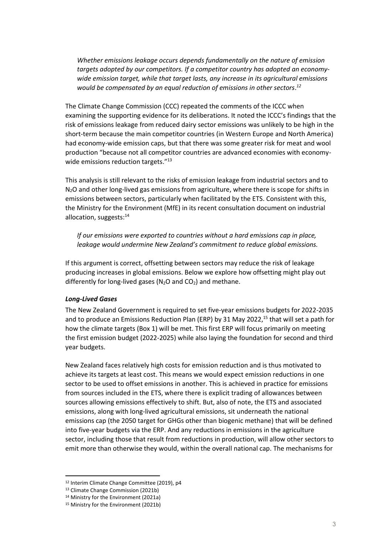*Whether emissions leakage occurs depends fundamentally on the nature of emission targets adopted by our competitors. If a competitor country has adopted an economywide emission target, while that target lasts, any increase in its agricultural emissions would be compensated by an equal reduction of emissions in other sectors*. *12*

The Climate Change Commission (CCC) repeated the comments of the ICCC when examining the supporting evidence for its deliberations. It noted the ICCC's findings that the risk of emissions leakage from reduced dairy sector emissions was unlikely to be high in the short-term because the main competitor countries (in Western Europe and North America) had economy-wide emission caps, but that there was some greater risk for meat and wool production "because not all competitor countries are advanced economies with economywide emissions reduction targets."<sup>13</sup>

This analysis is still relevant to the risks of emission leakage from industrial sectors and to N<sub>2</sub>O and other long-lived gas emissions from agriculture, where there is scope for shifts in emissions between sectors, particularly when facilitated by the ETS. Consistent with this, the Ministry for the Environment (MfE) in its recent consultation document on industrial allocation, suggests:<sup>14</sup>

*If our emissions were exported to countries without a hard emissions cap in place, leakage would undermine New Zealand's commitment to reduce global emissions.*

If this argument is correct, offsetting between sectors may reduce the risk of leakage producing increases in global emissions. Below we explore how offsetting might play out differently for long-lived gases ( $N_2O$  and  $CO_2$ ) and methane.

#### *Long-Lived Gases*

The New Zealand Government is required to set five-year emissions budgets for 2022-2035 and to produce an Emissions Reduction Plan (ERP) by 31 May 2022, <sup>15</sup> that will set a path for how the climate targets [\(Box 1\)](#page-4-1) will be met. This first ERP will focus primarily on meeting the first emission budget (2022-2025) while also laying the foundation for second and third year budgets.

New Zealand faces relatively high costs for emission reduction and is thus motivated to achieve its targets at least cost. This means we would expect emission reductions in one sector to be used to offset emissions in another. This is achieved in practice for emissions from sources included in the ETS, where there is explicit trading of allowances between sources allowing emissions effectively to shift. But, also of note, the ETS and associated emissions, along with long-lived agricultural emissions, sit underneath the national emissions cap (the 2050 target for GHGs other than biogenic methane) that will be defined into five-year budgets via the ERP. And any reductions in emissions in the agriculture sector, including those that result from reductions in production, will allow other sectors to emit more than otherwise they would, within the overall national cap. The mechanisms for

<sup>12</sup> Interim Climate Change Committee (2019), p4

<sup>13</sup> Climate Change Commission (2021b)

<sup>14</sup> Ministry for the Environment (2021a)

<sup>15</sup> Ministry for the Environment (2021b)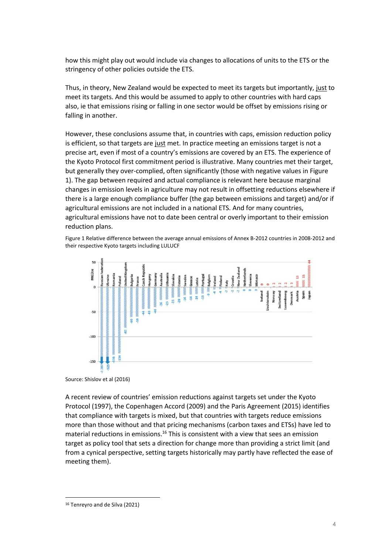how this might play out would include via changes to allocations of units to the ETS or the stringency of other policies outside the ETS.

Thus, in theory, New Zealand would be expected to meet its targets but importantly, just to meet its targets. And this would be assumed to apply to other countries with hard caps also, ie that emissions rising or falling in one sector would be offset by emissions rising or falling in another.

However, these conclusions assume that, in countries with caps, emission reduction policy is efficient, so that targets are just met. In practice meeting an emissions target is not a precise art, even if most of a country's emissions are covered by an ETS. The experience of the Kyoto Protocol first commitment period is illustrative. Many countries met their target, but generally they over-complied, often significantly (those with negative values i[n Figure](#page-6-0)  [1\)](#page-6-0). The gap between required and actual compliance is relevant here because marginal changes in emission levels in agriculture may not result in offsetting reductions elsewhere if there is a large enough compliance buffer (the gap between emissions and target) and/or if agricultural emissions are not included in a national ETS. And for many countries, agricultural emissions have not to date been central or overly important to their emission reduction plans.

<span id="page-6-0"></span>Figure 1 Relative difference between the average annual emissions of Annex B-2012 countries in 2008-2012 and their respective Kyoto targets including LULUCF



Source: Shislov et al (2016)

A recent review of countries' emission reductions against targets set under the Kyoto Protocol (1997), the Copenhagen Accord (2009) and the Paris Agreement (2015) identifies that compliance with targets is mixed, but that countries with targets reduce emissions more than those without and that pricing mechanisms (carbon taxes and ETSs) have led to material reductions in emissions.<sup>16</sup> This is consistent with a view that sees an emission target as policy tool that sets a direction for change more than providing a strict limit (and from a cynical perspective, setting targets historically may partly have reflected the ease of meeting them).

<sup>16</sup> Tenreyro and de Silva (2021)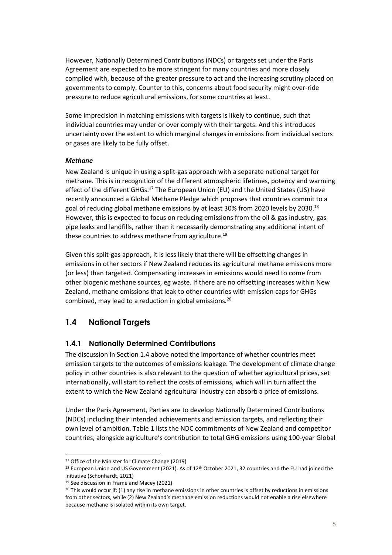However, Nationally Determined Contributions (NDCs) or targets set under the Paris Agreement are expected to be more stringent for many countries and more closely complied with, because of the greater pressure to act and the increasing scrutiny placed on governments to comply. Counter to this, concerns about food security might over-ride pressure to reduce agricultural emissions, for some countries at least.

Some imprecision in matching emissions with targets is likely to continue, such that individual countries may under or over comply with their targets. And this introduces uncertainty over the extent to which marginal changes in emissions from individual sectors or gases are likely to be fully offset.

#### *Methane*

New Zealand is unique in using a split-gas approach with a separate national target for methane. This is in recognition of the different atmospheric lifetimes, potency and warming effect of the different GHGs.<sup>17</sup> The European Union (EU) and the United States (US) have recently announced a Global Methane Pledge which proposes that countries commit to a goal of reducing global methane emissions by at least 30% from 2020 levels by 2030.<sup>18</sup> However, this is expected to focus on reducing emissions from the oil & gas industry, gas pipe leaks and landfills, rather than it necessarily demonstrating any additional intent of these countries to address methane from agriculture. 19

Given this split-gas approach, it is less likely that there will be offsetting changes in emissions in other sectors if New Zealand reduces its agricultural methane emissions more (or less) than targeted. Compensating increases in emissions would need to come from other biogenic methane sources, eg waste. If there are no offsetting increases within New Zealand, methane emissions that leak to other countries with emission caps for GHGs combined, may lead to a reduction in global emissions.<sup>20</sup>

### <span id="page-7-0"></span>**1.4 National Targets**

#### **1.4.1 Nationally Determined Contributions**

The discussion in Section [1.4](#page-7-0) above noted the importance of whether countries meet emission targets to the outcomes of emissions leakage. The development of climate change policy in other countries is also relevant to the question of whether agricultural prices, set internationally, will start to reflect the costs of emissions, which will in turn affect the extent to which the New Zealand agricultural industry can absorb a price of emissions.

Under the Paris Agreement, Parties are to develop Nationally Determined Contributions (NDCs) including their intended achievements and emission targets, and reflecting their own level of ambition. [Table 1](#page-8-0) lists the NDC commitments of New Zealand and competitor countries, alongside agriculture's contribution to total GHG emissions using 100-year Global

<sup>17</sup> Office of the Minister for Climate Change (2019)

<sup>18</sup> European Union and US Government (2021). As of 12<sup>th</sup> October 2021, 32 countries and the EU had joined the initiative (Schonhardt, 2021)

<sup>&</sup>lt;sup>19</sup> See discussion in Frame and Macey (2021)

 $20$  This would occur if: (1) any rise in methane emissions in other countries is offset by reductions in emissions from other sectors, while (2) New Zealand's methane emission reductions would not enable a rise elsewhere because methane is isolated within its own target.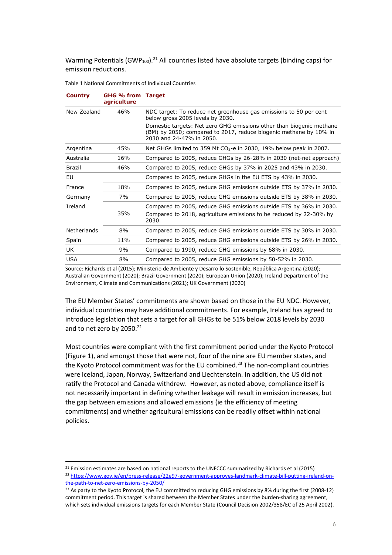Warming Potentials (GWP<sub>100</sub>).<sup>21</sup> All countries listed have absolute targets (binding caps) for emission reductions.

<span id="page-8-0"></span>Table 1 National Commitments of Individual Countries

| <b>Country</b> | <b>GHG % from Target</b><br>agriculture |                                                                                                                                                                       |
|----------------|-----------------------------------------|-----------------------------------------------------------------------------------------------------------------------------------------------------------------------|
| New Zealand    | 46%                                     | NDC target: To reduce net greenhouse gas emissions to 50 per cent<br>below gross 2005 levels by 2030.                                                                 |
|                |                                         | Domestic targets: Net zero GHG emissions other than biogenic methane<br>(BM) by 2050; compared to 2017, reduce biogenic methane by 10% in<br>2030 and 24-47% in 2050. |
| Argentina      | 45%                                     | Net GHGs limited to 359 Mt $CO2$ -e in 2030, 19% below peak in 2007.                                                                                                  |
| Australia      | 16%                                     | Compared to 2005, reduce GHGs by 26-28% in 2030 (net-net approach)                                                                                                    |
| Brazil         | 46%                                     | Compared to 2005, reduce GHGs by 37% in 2025 and 43% in 2030.                                                                                                         |
| EU             |                                         | Compared to 2005, reduce GHGs in the EU ETS by 43% in 2030.                                                                                                           |
| France         | 18%                                     | Compared to 2005, reduce GHG emissions outside ETS by 37% in 2030.                                                                                                    |
| Germany        | 7%                                      | Compared to 2005, reduce GHG emissions outside ETS by 38% in 2030.                                                                                                    |
| Ireland        | 35%                                     | Compared to 2005, reduce GHG emissions outside ETS by 36% in 2030.<br>Compared to 2018, agriculture emissions to be reduced by 22-30% by<br>2030.                     |
| Netherlands    | 8%                                      | Compared to 2005, reduce GHG emissions outside ETS by 30% in 2030.                                                                                                    |
| Spain          | 11%                                     | Compared to 2005, reduce GHG emissions outside ETS by 26% in 2030.                                                                                                    |
| UK.            | 9%                                      | Compared to 1990, reduce GHG emissions by 68% in 2030.                                                                                                                |
| <b>USA</b>     | 8%                                      | Compared to 2005, reduce GHG emissions by 50-52% in 2030.                                                                                                             |

Source: Richards et al (2015); Ministerio de Ambiente y Desarrollo Sostenible, República Argentina (2020); Australian Government (2020); Brazil Government (2020); European Union (2020); Ireland Department of the Environment, Climate and Communications (2021); UK Government (2020)

The EU Member States' commitments are shown based on those in the EU NDC. However, individual countries may have additional commitments. For example, Ireland has agreed to introduce legislation that sets a target for all GHGs to be 51% below 2018 levels by 2030 and to net zero by 2050.<sup>22</sup>

Most countries were compliant with the first commitment period under the Kyoto Protocol [\(Figure 1\)](#page-6-0), and amongst those that were not, four of the nine are EU member states, and the Kyoto Protocol commitment was for the EU combined.<sup>23</sup> The non-compliant countries were Iceland, Japan, Norway, Switzerland and Liechtenstein. In addition, the US did not ratify the Protocol and Canada withdrew. However, as noted above, compliance itself is not necessarily important in defining whether leakage will result in emission increases, but the gap between emissions and allowed emissions (ie the efficiency of meeting commitments) and whether agricultural emissions can be readily offset within national policies.

<sup>&</sup>lt;sup>21</sup> Emission estimates are based on national reports to the UNFCCC summarized by Richards et al (2015) <sup>22</sup> [https://www.gov.ie/en/press-release/22e97-government-approves-landmark-climate-bill-putting-ireland-on](https://www.gov.ie/en/press-release/22e97-government-approves-landmark-climate-bill-putting-ireland-on-the-path-to-net-zero-emissions-by-2050/)[the-path-to-net-zero-emissions-by-2050/](https://www.gov.ie/en/press-release/22e97-government-approves-landmark-climate-bill-putting-ireland-on-the-path-to-net-zero-emissions-by-2050/)

<sup>&</sup>lt;sup>23</sup> As party to the Kyoto Protocol, the EU committed to reducing GHG emissions by 8% during the first (2008-12) commitment period. This target is shared between the Member States under the burden-sharing agreement, which sets individual emissions targets for each Member State (Council Decision 2002/358/EC of 25 April 2002).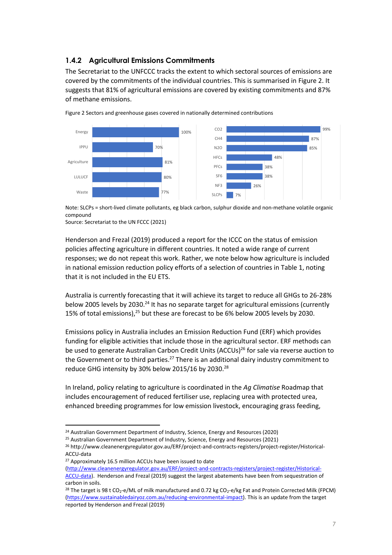#### **1.4.2 Agricultural Emissions Commitments**

The Secretariat to the UNFCCC tracks the extent to which sectoral sources of emissions are covered by the commitments of the individual countries. This is summarised in [Figure 2.](#page-9-0) It suggests that 81% of agricultural emissions are covered by existing commitments and 87% of methane emissions.



<span id="page-9-0"></span>Figure 2 Sectors and greenhouse gases covered in nationally determined contributions

Note: SLCPs = short-lived climate pollutants, eg black carbon, sulphur dioxide and non-methane volatile organic compound

Source: Secretariat to the UN FCCC (2021)

Henderson and Frezal (2019) produced a report for the ICCC on the status of emission policies affecting agriculture in different countries. It noted a wide range of current responses; we do not repeat this work. Rather, we note below how agriculture is included in national emission reduction policy efforts of a selection of countries in [Table 1,](#page-8-0) noting that it is not included in the EU ETS.

Australia is currently forecasting that it will achieve its target to reduce all GHGs to 26-28% below 2005 levels by 2030.<sup>24</sup> It has no separate target for agricultural emissions (currently 15% of total emissions), $^{25}$  but these are forecast to be 6% below 2005 levels by 2030.

Emissions policy in Australia includes an Emission Reduction Fund (ERF) which provides funding for eligible activities that include those in the agricultural sector. ERF methods can be used to generate Australian Carbon Credit Units (ACCUs)<sup>26</sup> for sale via reverse auction to the Government or to third parties.<sup>27</sup> There is an additional dairy industry commitment to reduce GHG intensity by 30% below 2015/16 by 2030.<sup>28</sup>

In Ireland, policy relating to agriculture is coordinated in the *Ag Climatise* Roadmap that includes encouragement of reduced fertiliser use, replacing urea with protected urea, enhanced breeding programmes for low emission livestock, encouraging grass feeding,

<sup>27</sup> Approximately 16.5 million ACCUs have been issued to date

<sup>24</sup> Australian Government Department of Industry, Science, Energy and Resources (2020)

<sup>25</sup> Australian Government Department of Industry, Science, Energy and Resources (2021)

<sup>26</sup> http://www.cleanenergyregulator.gov.au/ERF/project-and-contracts-registers/project-register/Historical-ACCU-data

[<sup>\(</sup>http://www.cleanenergyregulator.gov.au/ERF/project-and-contracts-registers/project-register/Historical-](http://www.cleanenergyregulator.gov.au/ERF/project-and-contracts-registers/project-register/Historical-ACCU-data)[ACCU-data\)](http://www.cleanenergyregulator.gov.au/ERF/project-and-contracts-registers/project-register/Historical-ACCU-data). Henderson and Frezal (2019) suggest the largest abatements have been from sequestration of carbon in soils.

<sup>&</sup>lt;sup>28</sup> The target is 98 t CO<sub>2</sub>-e/ML of milk manufactured and 0.72 kg CO<sub>2</sub>-e/kg Fat and Protein Corrected Milk (FPCM) [\(https://www.sustainabledairyoz.com.au/reducing-environmental-impact\)](https://www.sustainabledairyoz.com.au/reducing-environmental-impact#.YU0C3rgzZPY). This is an update from the target reported by Henderson and Frezal (2019)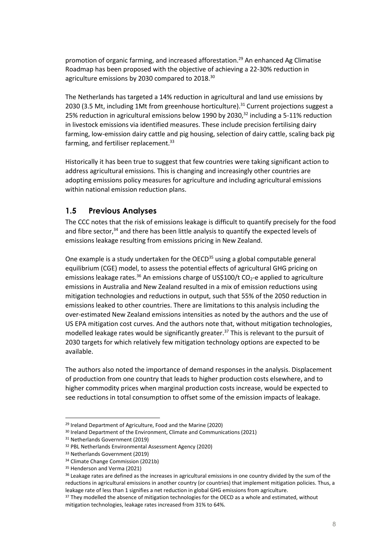promotion of organic farming, and increased afforestation.<sup>29</sup> An enhanced Ag Climatise Roadmap has been proposed with the objective of achieving a 22-30% reduction in agriculture emissions by 2030 compared to 2018.<sup>30</sup>

The Netherlands has targeted a 14% reduction in agricultural and land use emissions by 2030 (3.5 Mt, including 1Mt from greenhouse horticulture).<sup>31</sup> Current projections suggest a 25% reduction in agricultural emissions below 1990 by 2030, $32$  including a 5-11% reduction in livestock emissions via identified measures. These include precision fertilising dairy farming, low-emission dairy cattle and pig housing, selection of dairy cattle, scaling back pig farming, and fertiliser replacement.<sup>33</sup>

Historically it has been true to suggest that few countries were taking significant action to address agricultural emissions. This is changing and increasingly other countries are adopting emissions policy measures for agriculture and including agricultural emissions within national emission reduction plans.

### <span id="page-10-0"></span>**1.5 Previous Analyses**

The CCC notes that the risk of emissions leakage is difficult to quantify precisely for the food and fibre sector,<sup>34</sup> and there has been little analysis to quantify the expected levels of emissions leakage resulting from emissions pricing in New Zealand.

One example is a study undertaken for the OECD $35$  using a global computable general equilibrium (CGE) model, to assess the potential effects of agricultural GHG pricing on emissions leakage rates.<sup>36</sup> An emissions charge of US\$100/t CO<sub>2</sub>-e applied to agriculture emissions in Australia and New Zealand resulted in a mix of emission reductions using mitigation technologies and reductions in output, such that 55% of the 2050 reduction in emissions leaked to other countries. There are limitations to this analysis including the over-estimated New Zealand emissions intensities as noted by the authors and the use of US EPA mitigation cost curves. And the authors note that, without mitigation technologies, modelled leakage rates would be significantly greater.<sup>37</sup> This is relevant to the pursuit of 2030 targets for which relatively few mitigation technology options are expected to be available.

The authors also noted the importance of demand responses in the analysis. Displacement of production from one country that leads to higher production costs elsewhere, and to higher commodity prices when marginal production costs increase, would be expected to see reductions in total consumption to offset some of the emission impacts of leakage.

<sup>29</sup> Ireland Department of Agriculture, Food and the Marine (2020)

<sup>&</sup>lt;sup>30</sup> Ireland Department of the Environment, Climate and Communications (2021)

<sup>31</sup> Netherlands Government (2019)

<sup>32</sup> PBL Netherlands Environmental Assessment Agency (2020)

<sup>33</sup> Netherlands Government (2019)

<sup>34</sup> Climate Change Commission (2021b)

<sup>&</sup>lt;sup>35</sup> Henderson and Verma (2021)

<sup>&</sup>lt;sup>36</sup> Leakage rates are defined as the increases in agricultural emissions in one country divided by the sum of the reductions in agricultural emissions in another country (or countries) that implement mitigation policies. Thus, a leakage rate of less than 1 signifies a net reduction in global GHG emissions from agriculture.

<sup>&</sup>lt;sup>37</sup> They modelled the absence of mitigation technologies for the OECD as a whole and estimated, without mitigation technologies, leakage rates increased from 31% to 64%.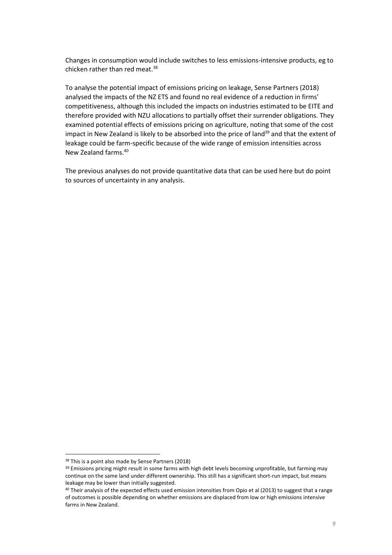Changes in consumption would include switches to less emissions-intensive products, eg to chicken rather than red meat.<sup>38</sup>

To analyse the potential impact of emissions pricing on leakage, Sense Partners (2018) analysed the impacts of the NZ ETS and found no real evidence of a reduction in firms' competitiveness, although this included the impacts on industries estimated to be EITE and therefore provided with NZU allocations to partially offset their surrender obligations. They examined potential effects of emissions pricing on agriculture, noting that some of the cost impact in New Zealand is likely to be absorbed into the price of land $39$  and that the extent of leakage could be farm-specific because of the wide range of emission intensities across New Zealand farms.<sup>40</sup>

The previous analyses do not provide quantitative data that can be used here but do point to sources of uncertainty in any analysis.

<sup>38</sup> This is a point also made by Sense Partners (2018)

<sup>&</sup>lt;sup>39</sup> Emissions pricing might result in some farms with high debt levels becoming unprofitable, but farming may continue on the same land under different ownership. This still has a significant short-run impact, but means leakage may be lower than initially suggested.

<sup>&</sup>lt;sup>40</sup> Their analysis of the expected effects used emission intensities from Opio et al (2013) to suggest that a range of outcomes is possible depending on whether emissions are displaced from low or high emissions intensive farms in New Zealand.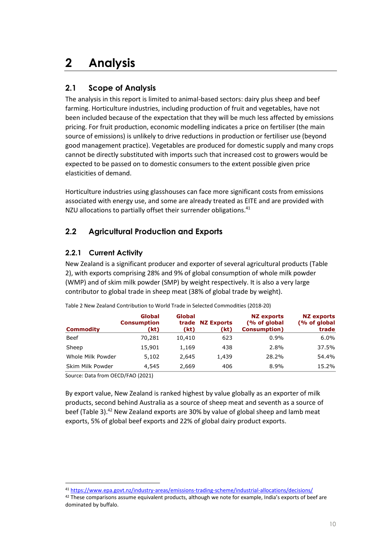# <span id="page-12-0"></span>**2 Analysis**

# <span id="page-12-1"></span>**2.1 Scope of Analysis**

The analysis in this report is limited to animal-based sectors: dairy plus sheep and beef farming. Horticulture industries, including production of fruit and vegetables, have not been included because of the expectation that they will be much less affected by emissions pricing. For fruit production, economic modelling indicates a price on fertiliser (the main source of emissions) is unlikely to drive reductions in production or fertiliser use (beyond good management practice). Vegetables are produced for domestic supply and many crops cannot be directly substituted with imports such that increased cost to growers would be expected to be passed on to domestic consumers to the extent possible given price elasticities of demand.

Horticulture industries using glasshouses can face more significant costs from emissions associated with energy use, and some are already treated as EITE and are provided with NZU allocations to partially offset their surrender obligations.<sup>41</sup>

### <span id="page-12-2"></span>**2.2 Agricultural Production and Exports**

#### **2.2.1 Current Activity**

New Zealand is a significant producer and exporter of several agricultural products [\(Table](#page-12-3)  [2\)](#page-12-3), with exports comprising 28% and 9% of global consumption of whole milk powder (WMP) and of skim milk powder (SMP) by weight respectively. It is also a very large contributor to global trade in sheep meat (38% of global trade by weight).

| <b>Commodity</b>  | Global<br><b>Consumption</b><br>(kt) | Global<br>trade<br>(kt) | <b>NZ Exports</b><br>(kt) | <b>NZ</b> exports<br>(% of global<br><b>Consumption</b> ) | <b>NZ exports</b><br>(% of global<br>trade |
|-------------------|--------------------------------------|-------------------------|---------------------------|-----------------------------------------------------------|--------------------------------------------|
| Beef              | 70,281                               | 10,410                  | 623                       | $0.9\%$                                                   | $6.0\%$                                    |
| Sheep             | 15,901                               | 1,169                   | 438                       | 2.8%                                                      | 37.5%                                      |
| Whole Milk Powder | 5,102                                | 2.645                   | 1,439                     | 28.2%                                                     | 54.4%                                      |
| Skim Milk Powder  | 4,545                                | 2,669                   | 406                       | 8.9%                                                      | 15.2%                                      |

<span id="page-12-3"></span>Table 2 New Zealand Contribution to World Trade in Selected Commodities (2018-20)

Source: Data from OECD/FAO (2021)

By export value, New Zealand is ranked highest by value globally as an exporter of milk products, second behind Australia as a source of sheep meat and seventh as a source of beef [\(Table 3\)](#page-13-0).<sup>42</sup> New Zealand exports are 30% by value of global sheep and lamb meat exports, 5% of global beef exports and 22% of global dairy product exports.

<sup>41</sup> <https://www.epa.govt.nz/industry-areas/emissions-trading-scheme/industrial-allocations/decisions/>

<sup>42</sup> These comparisons assume equivalent products, although we note for example, India's exports of beef are dominated by buffalo.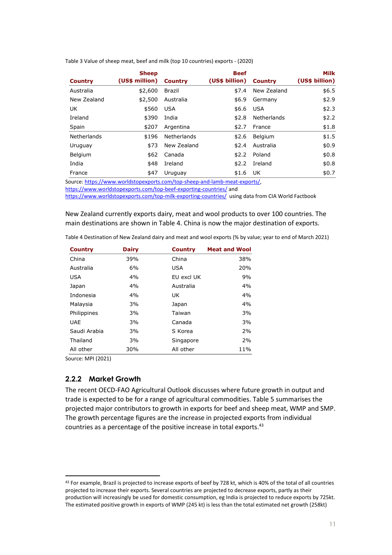| <b>Country</b>     | <b>Sheep</b><br>(US\$ million) | <b>Country</b>     | <b>Beef</b><br>(US\$ billion) | <b>Country</b> | <b>Milk</b><br>(US\$ billion) |
|--------------------|--------------------------------|--------------------|-------------------------------|----------------|-------------------------------|
| Australia          | \$2,600                        | Brazil             | \$7.4                         | New Zealand    | \$6.5                         |
| New Zealand        | \$2,500                        | Australia          | \$6.9                         | Germany        | \$2.9                         |
| UK.                | \$560                          | <b>USA</b>         | \$6.6                         | <b>USA</b>     | \$2.3                         |
| Ireland            | \$390                          | India              | \$2.8                         | Netherlands    | \$2.2                         |
| Spain              | \$207                          | Argentina          | \$2.7                         | France         | \$1.8                         |
| <b>Netherlands</b> | \$196                          | <b>Netherlands</b> | \$2.6                         | Belgium        | \$1.5                         |
| Uruguay            | \$73                           | New Zealand        | \$2.4                         | Australia      | \$0.9                         |
| Belgium            | \$62                           | Canada             | \$2.2                         | Poland         | \$0.8                         |
| India              | \$48                           | Ireland            | \$2.2                         | Ireland        | \$0.8                         |
| France             | \$47                           | Uruguay            | \$1.6 UK                      |                | \$0.7                         |

<span id="page-13-0"></span>Table 3 Value of sheep meat, beef and milk (top 10 countries) exports - (2020)

Source[: https://www.worldstopexports.com/top-sheep-and-lamb-meat-exports/,](https://www.worldstopexports.com/top-sheep-and-lamb-meat-exports/)

<https://www.worldstopexports.com/top-beef-exporting-countries/> and

<https://www.worldstopexports.com/top-milk-exporting-countries/>using data from CIA World Factbook

New Zealand currently exports dairy, meat and wool products to over 100 countries. The main destinations are shown in [Table 4.](#page-13-1) China is now the major destination of exports.

| <b>Country</b> | <b>Dairy</b> | <b>Country</b> | <b>Meat and Wool</b> |
|----------------|--------------|----------------|----------------------|
| China          | 39%          | China          | 38%                  |
| Australia      | 6%           | <b>USA</b>     | 20%                  |
| USA            | 4%           | EU excl UK     | 9%                   |
| Japan          | 4%           | Australia      | 4%                   |
| Indonesia      | 4%           | UK             | 4%                   |
| Malaysia       | 3%           | Japan          | 4%                   |
| Philippines    | 3%           | Taiwan         | 3%                   |
| UAE            | 3%           | Canada         | 3%                   |
| Saudi Arabia   | 3%           | S Korea        | 2%                   |
| Thailand       | 3%           | Singapore      | 2%                   |
| All other      | 30%          | All other      | 11%                  |

<span id="page-13-1"></span>Table 4 Destination of New Zealand dairy and meat and wool exports (% by value; year to end of March 2021)

Source: MPI (2021)

#### **2.2.2 Market Growth**

The recent OECD-FAO Agricultural Outlook discusses where future growth in output and trade is expected to be for a range of agricultural commodities. [Table 5](#page-14-1) summarises the projected major contributors to growth in exports for beef and sheep meat, WMP and SMP. The growth percentage figures are the increase in projected exports from individual countries as a percentage of the positive increase in total exports.<sup>43</sup>

<sup>43</sup> For example, Brazil is projected to increase exports of beef by 728 kt, which is 40% of the total of all countries projected to increase their exports. Several countries are projected to decrease exports, partly as their production will increasingly be used for domestic consumption, eg India is projected to reduce exports by 725kt. The estimated positive growth in exports of WMP (245 kt) is less than the total estimated net growth (258kt)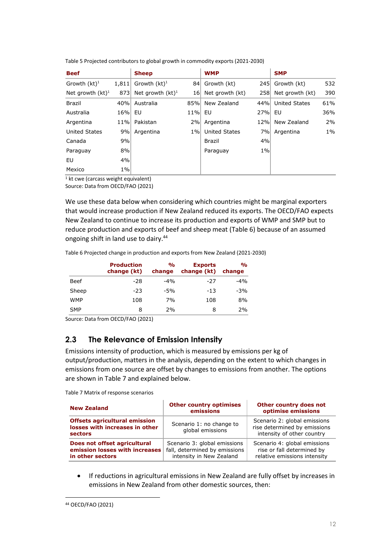| <b>Beef</b>          |       | <b>Sheep</b>        |       | <b>WMP</b>           |       | <b>SMP</b>           |       |
|----------------------|-------|---------------------|-------|----------------------|-------|----------------------|-------|
| Growth $(kt)^1$      | 1,811 | Growth $(kt)^1$     | 84    | Growth (kt)          | 245   | Growth (kt)          | 532   |
| Net growth $(kt)^1$  | 873   | Net growth $(kt)^1$ | 16    | Net growth (kt)      | 258   | Net growth (kt)      | 390   |
| <b>Brazil</b>        | 40%   | Australia           | 85%   | New Zealand          | 44%   | <b>United States</b> | 61%   |
| Australia            | 16%   | EU                  | 11%   | EU                   | 27%   | EU                   | 36%   |
| Argentina            | 11%   | Pakistan            | 2%    | Argentina            | 12%   | New Zealand          | 2%    |
| <b>United States</b> | 9%    | Argentina           | $1\%$ | <b>United States</b> | 7%l   | Argentina            | $1\%$ |
| Canada               | 9%    |                     |       | <b>Brazil</b>        | 4%    |                      |       |
| Paraguay             | 8%    |                     |       | Paraguay             | $1\%$ |                      |       |
| EU                   | 4%    |                     |       |                      |       |                      |       |
| Mexico               | $1\%$ |                     |       |                      |       |                      |       |

<span id="page-14-1"></span>Table 5 Projected contributors to global growth in commodity exports (2021-2030)

<sup>1</sup> kt cwe (carcass weight equivalent)

Source: Data from OECD/FAO (2021)

We use these data below when considering which countries might be marginal exporters that would increase production if New Zealand reduced its exports. The OECD/FAO expects New Zealand to continue to increase its production and exports of WMP and SMP but to reduce production and exports of beef and sheep meat [\(Table 6\)](#page-14-2) because of an assumed ongoing shift in land use to dairy. 44

<span id="page-14-2"></span>Table 6 Projected change in production and exports from New Zealand (2021-2030)

|            | <b>Production</b><br>change (kt) | $\frac{1}{2}$<br>change | <b>Exports</b><br>change (kt) | $\frac{1}{2}$<br>change |
|------------|----------------------------------|-------------------------|-------------------------------|-------------------------|
| Beef       | -28                              | $-4%$                   | -27                           | $-4%$                   |
| Sheep      | $-23$                            | $-5%$                   | $-13$                         | $-3%$                   |
| <b>WMP</b> | 108                              | 7%                      | 108                           | 8%                      |
| <b>SMP</b> | 8                                | 2%                      | 8                             | 2%                      |

<span id="page-14-0"></span>Source: Data from OECD/FAO (2021)

### **2.3 The Relevance of Emission Intensity**

Emissions intensity of production, which is measured by emissions per kg of output/production, matters in the analysis, depending on the extent to which changes in emissions from one source are offset by changes to emissions from another. The options are shown in [Table 7](#page-14-3) and explained below.

<span id="page-14-3"></span>Table 7 Matrix of response scenarios

| <b>New Zealand</b>                                                                 | <b>Other country optimises</b><br>emissions                                               | Other country does not<br>optimise emissions                                               |  |
|------------------------------------------------------------------------------------|-------------------------------------------------------------------------------------------|--------------------------------------------------------------------------------------------|--|
| <b>Offsets agricultural emission</b><br>losses with increases in other<br>sectors  | Scenario 1: no change to<br>global emissions                                              | Scenario 2: global emissions<br>rise determined by emissions<br>intensity of other country |  |
| Does not offset agricultural<br>emission losses with increases<br>in other sectors | Scenario 3: global emissions<br>fall, determined by emissions<br>intensity in New Zealand | Scenario 4: global emissions<br>rise or fall determined by<br>relative emissions intensity |  |

• If reductions in agricultural emissions in New Zealand are fully offset by increases in emissions in New Zealand from other domestic sources, then:

<sup>44</sup> OECD/FAO (2021)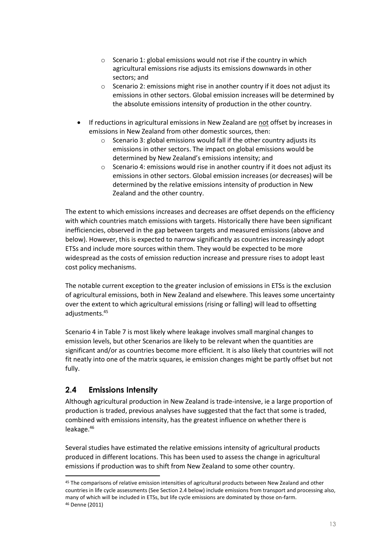- o Scenario 1: global emissions would not rise if the country in which agricultural emissions rise adjusts its emissions downwards in other sectors; and
- o Scenario 2: emissions might rise in another country if it does not adjust its emissions in other sectors. Global emission increases will be determined by the absolute emissions intensity of production in the other country.
- If reductions in agricultural emissions in New Zealand are not offset by increases in emissions in New Zealand from other domestic sources, then:
	- Scenario 3: global emissions would fall if the other country adjusts its emissions in other sectors. The impact on global emissions would be determined by New Zealand's emissions intensity; and
	- o Scenario 4: emissions would rise in another country if it does not adjust its emissions in other sectors. Global emission increases (or decreases) will be determined by the relative emissions intensity of production in New Zealand and the other country.

The extent to which emissions increases and decreases are offset depends on the efficiency with which countries match emissions with targets. Historically there have been significant inefficiencies, observed in the gap between targets and measured emissions (above and below). However, this is expected to narrow significantly as countries increasingly adopt ETSs and include more sources within them. They would be expected to be more widespread as the costs of emission reduction increase and pressure rises to adopt least cost policy mechanisms.

The notable current exception to the greater inclusion of emissions in ETSs is the exclusion of agricultural emissions, both in New Zealand and elsewhere. This leaves some uncertainty over the extent to which agricultural emissions (rising or falling) will lead to offsetting adjustments.<sup>45</sup>

Scenario 4 in [Table 7](#page-14-3) is most likely where leakage involves small marginal changes to emission levels, but other Scenarios are likely to be relevant when the quantities are significant and/or as countries become more efficient. It is also likely that countries will not fit neatly into one of the matrix squares, ie emission changes might be partly offset but not fully.

# <span id="page-15-0"></span>**2.4 Emissions Intensity**

Although agricultural production in New Zealand is trade-intensive, ie a large proportion of production is traded, previous analyses have suggested that the fact that some is traded, combined with emissions intensity, has the greatest influence on whether there is leakage.<sup>46</sup>

Several studies have estimated the relative emissions intensity of agricultural products produced in different locations. This has been used to assess the change in agricultural emissions if production was to shift from New Zealand to some other country.

<sup>&</sup>lt;sup>45</sup> The comparisons of relative emission intensities of agricultural products between New Zealand and other countries in life cycle assessments (See Section 2.4 below) include emissions from transport and processing also, many of which will be included in ETSs, but life cycle emissions are dominated by those on-farm. <sup>46</sup> Denne (2011)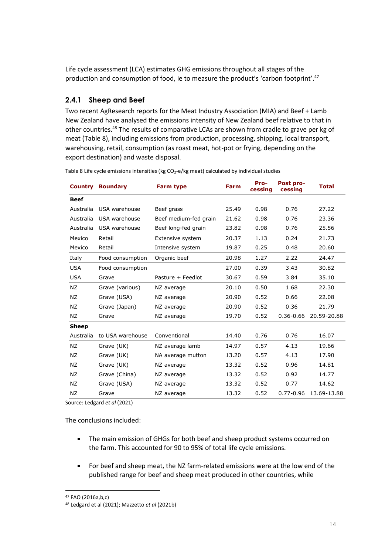Life cycle assessment (LCA) estimates GHG emissions throughout all stages of the production and consumption of food, ie to measure the product's 'carbon footprint'. 47

#### **2.4.1 Sheep and Beef**

Two recent AgResearch reports for the Meat Industry Association (MIA) and Beef + Lamb New Zealand have analysed the emissions intensity of New Zealand beef relative to that in other countries.<sup>48</sup> The results of comparative LCAs are shown from cradle to grave per kg of meat [\(Table 8\)](#page-16-0), including emissions from production, processing, shipping, local transport, warehousing, retail, consumption (as roast meat, hot-pot or frying, depending on the export destination) and waste disposal.

**Country Boundary Farm type Farm Farm Farm cessing Post processing Total Beef** Australia USA warehouse Beef grass 25.49 0.98 0.76 27.22 Australia USA warehouse Beef medium-fed grain 21.62 0.98 0.76 23.36 Australia USA warehouse Beef long-fed grain 23.82 0.98 0.76 25.56 Mexico Retail Extensive system 20.37 1.13 0.24 21.73 Mexico Retail Intensive system 19.87 0.25 0.48 20.60 Italy Food consumption Organic beef 20.98 1.27 2.22 24.47 USA Food consumption 27.00 0.39 3.43 30.82 USA Grave Pasture + Feedlot 30.67 0.59 3.84 35.10 NZ Grave (various) NZ average 20.10 0.50 1.68 22.30 NZ Grave (USA) NZ average 20.90 0.52 0.66 22.08 NZ Grave (Japan) NZ average 20.90 0.52 0.36 21.79 NZ Grave NZ average 19.70 0.52 0.36-0.66 20.59-20.88 **Sheep** Australia to USA warehouse Conventional 14.40 0.76 0.76 16.07 NZ Grave (UK) NZ average lamb 14.97 0.57 4.13 19.66 NZ Grave (UK) NA average mutton 13.20 0.57 4.13 17.90 NZ Grave (UK) NZ average 13.32 0.52 0.96 14.81 NZ Grave (China) NZ average 13.32 0.52 0.92 14.77 NZ Grave (USA) NZ average 13.32 0.52 0.77 14.62 NZ Grave NZ average 13.32 0.52 0.77-0.96 13.69-13.88

<span id="page-16-0"></span>Table 8 Life cycle emissions intensities (kg  $CO<sub>2</sub>$ -e/kg meat) calculated by individual studies

Source: Ledgard *et al* (2021)

The conclusions included:

- The main emission of GHGs for both beef and sheep product systems occurred on the farm. This accounted for 90 to 95% of total life cycle emissions.
- For beef and sheep meat, the NZ farm-related emissions were at the low end of the published range for beef and sheep meat produced in other countries, while

<sup>47</sup> FAO (2016a,b,c)

<sup>48</sup> Ledgard et al (2021); Mazzetto *et al* (2021b)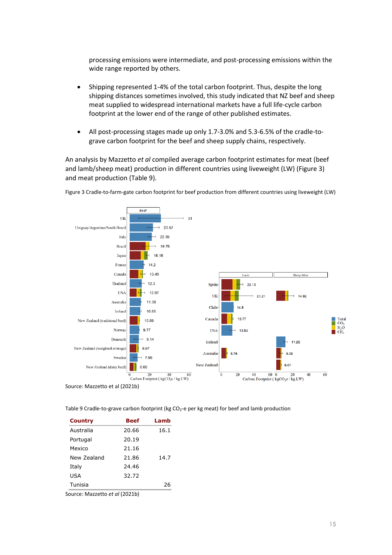processing emissions were intermediate, and post-processing emissions within the wide range reported by others.

- Shipping represented 1-4% of the total carbon footprint. Thus, despite the long shipping distances sometimes involved, this study indicated that NZ beef and sheep meat supplied to widespread international markets have a full life-cycle carbon footprint at the lower end of the range of other published estimates.
- All post-processing stages made up only 1.7-3.0% and 5.3-6.5% of the cradle-tograve carbon footprint for the beef and sheep supply chains, respectively.

An analysis by Mazzetto *et al* compiled average carbon footprint estimates for meat (beef and lamb/sheep meat) production in different countries using liveweight (LW) [\(Figure 3\)](#page-17-0) and meat production [\(Table 9\)](#page-17-1).



<span id="page-17-0"></span>Figure 3 Cradle-to-farm-gate carbon footprint for beef production from different countries using liveweight (LW)

<span id="page-17-1"></span>Table 9 Cradle-to-grave carbon footprint (kg  $CO<sub>2</sub>$ -e per kg meat) for beef and lamb production

| Country     | <b>Beef</b> | Lamb |
|-------------|-------------|------|
| Australia   | 20.66       | 16.1 |
| Portugal    | 20.19       |      |
| Mexico      | 21.16       |      |
| New Zealand | 21.86       | 14.7 |
| Italy       | 24.46       |      |
| USA         | 32.72       |      |
| Tunisia     |             | 26   |
|             | .           |      |

Source: Mazzetto *et al* (2021b)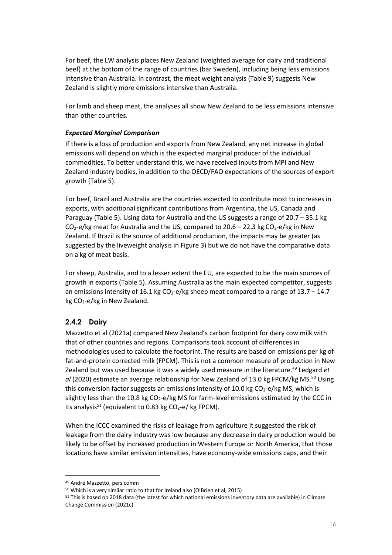For beef, the LW analysis places New Zealand (weighted average for dairy and traditional beef) at the bottom of the range of countries (bar Sweden), including being less emissions intensive than Australia. In contrast, the meat weight analysis [\(Table 9\)](#page-17-1) suggests New Zealand is slightly more emissions intensive than Australia.

For lamb and sheep meat, the analyses all show New Zealand to be less emissions intensive than other countries.

#### *Expected Marginal Comparison*

If there is a loss of production and exports from New Zealand, any net increase in global emissions will depend on which is the expected marginal producer of the individual commodities. To better understand this, we have received inputs from MPI and New Zealand industry bodies, in addition to the OECD/FAO expectations of the sources of export growth [\(Table 5\)](#page-14-1).

For beef, Brazil and Australia are the countries expected to contribute most to increases in exports, with additional significant contributions from Argentina, the US, Canada and Paraguay [\(Table 5\)](#page-14-1). Using data for Australia and the US suggests a range of 20.7 – 35.1 kg  $CO<sub>2</sub>$ -e/kg meat for Australia and the US, compared to 20.6 – 22.3 kg CO<sub>2</sub>-e/kg in New Zealand. If Brazil is the source of additional production, the impacts may be greater (as suggested by the liveweight analysis in [Figure 3\)](#page-17-0) but we do not have the comparative data on a kg of meat basis.

For sheep, Australia, and to a lesser extent the EU, are expected to be the main sources of growth in exports [\(Table 5\)](#page-14-1). Assuming Australia as the main expected competitor, suggests an emissions intensity of 16.1 kg CO<sub>2</sub>-e/kg sheep meat compared to a range of 13.7 – 14.7 kg CO2-e/kg in New Zealand.

#### **2.4.2 Dairy**

Mazzetto et al (2021a) compared New Zealand's carbon footprint for dairy cow milk with that of other countries and regions. Comparisons took account of differences in methodologies used to calculate the footprint. The results are based on emissions per kg of fat-and-protein corrected milk (FPCM). This is not a common measure of production in New Zealand but was used because it was a widely used measure in the literature.<sup>49</sup> Ledgard et *al* (2020) estimate an average relationship for New Zealand of 13.0 kg FPCM/kg MS.<sup>50</sup> Using this conversion factor suggests an emissions intensity of 10.0 kg  $CO<sub>2</sub>-e/kg MS$ , which is slightly less than the 10.8 kg  $CO<sub>2</sub>-e/kg$  MS for farm-level emissions estimated by the CCC in its analysis<sup>51</sup> (equivalent to 0.83 kg CO<sub>2</sub>-e/ kg FPCM).

When the ICCC examined the risks of leakage from agriculture it suggested the risk of leakage from the dairy industry was low because any decrease in dairy production would be likely to be offset by increased production in Western Europe or North America, that those locations have similar emission intensities, have economy-wide emissions caps, and their

<sup>49</sup> André Mazzetto, pers comm

<sup>50</sup> Which is a very similar ratio to that for Ireland also (O'Brien et al, 2015)

<sup>51</sup> This is based on 2018 data (the latest for which national emissions inventory data are available) in Climate Change Commission (2021c)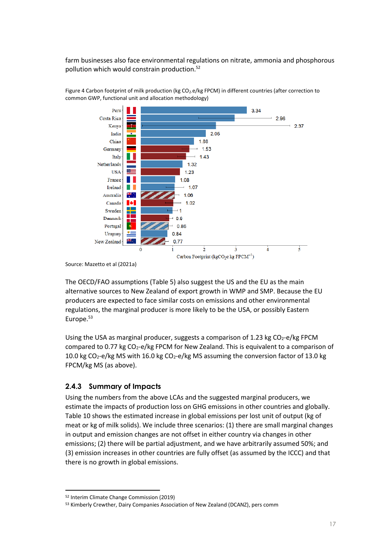farm businesses also face environmental regulations on nitrate, ammonia and phosphorous pollution which would constrain production. 52



Figure 4 Carbon footprint of milk production (kg CO<sub>2</sub>-e/kg FPCM) in different countries (after correction to common GWP, functional unit and allocation methodology)

The OECD/FAO assumptions [\(Table 5\)](#page-14-1) also suggest the US and the EU as the main alternative sources to New Zealand of export growth in WMP and SMP. Because the EU producers are expected to face similar costs on emissions and other environmental regulations, the marginal producer is more likely to be the USA, or possibly Eastern Europe.<sup>53</sup>

Using the USA as marginal producer, suggests a comparison of 1.23 kg  $CO<sub>2</sub>-e/kg$  FPCM compared to 0.77 kg  $CO_2$ -e/kg FPCM for New Zealand. This is equivalent to a comparison of 10.0 kg CO<sub>2</sub>-e/kg MS with 16.0 kg CO<sub>2</sub>-e/kg MS assuming the conversion factor of 13.0 kg FPCM/kg MS (as above).

#### **2.4.3 Summary of Impacts**

Using the numbers from the above LCAs and the suggested marginal producers, we estimate the impacts of production loss on GHG emissions in other countries and globally. [Table 10](#page-20-0) shows the estimated increase in global emissions per lost unit of output (kg of meat or kg of milk solids). We include three scenarios: (1) there are small marginal changes in output and emission changes are not offset in either country via changes in other emissions; (2) there will be partial adjustment, and we have arbitrarily assumed 50%; and (3) emission increases in other countries are fully offset (as assumed by the ICCC) and that there is no growth in global emissions.

Source: Mazetto et al (2021a)

<sup>52</sup> Interim Climate Change Commission (2019)

<sup>53</sup> Kimberly Crewther, Dairy Companies Association of New Zealand (DCANZ), pers comm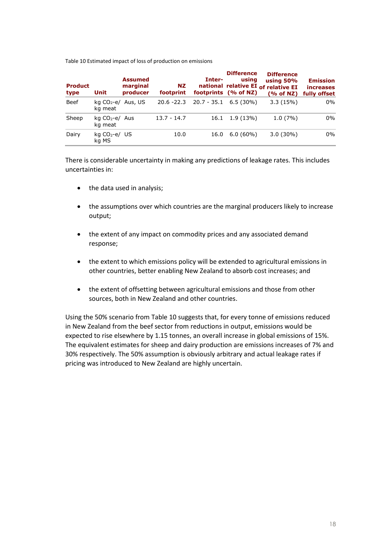<span id="page-20-0"></span>Table 10 Estimated impact of loss of production on emissions

| <b>Product</b><br>type | Unit                           | <b>Assumed</b><br>marginal<br>producer | <b>NZ</b><br>footprint | Inter-      | <b>Difference</b><br>using<br>footprints (% of NZ) | <b>Difference</b><br>using 50%<br>national relative EI of relative EI<br>(% of NZ) | <b>Emission</b><br><i>increases</i><br>fully offset |
|------------------------|--------------------------------|----------------------------------------|------------------------|-------------|----------------------------------------------------|------------------------------------------------------------------------------------|-----------------------------------------------------|
| <b>Beef</b>            | $kq CO2-e/$ Aus, US<br>kg meat |                                        | $20.6 - 22.3$          | 20.7 - 35.1 | $6.5(30\%)$                                        | 3.3(15%)                                                                           | $0\%$                                               |
| Sheep                  | $kg CO2-e/ Aus$<br>kg meat     |                                        | $13.7 - 14.7$          | 16.1        | $1.9(13\%)$                                        | $1.0(7\%)$                                                                         | $0\%$                                               |
| Dairy                  | $kq CO2-e/ US$<br>kg MS        |                                        | 10.0                   | 16.0        | $6.0(60\%)$                                        | $3.0(30\%)$                                                                        | $0\%$                                               |

There is considerable uncertainty in making any predictions of leakage rates. This includes uncertainties in:

- the data used in analysis;
- the assumptions over which countries are the marginal producers likely to increase output;
- the extent of any impact on commodity prices and any associated demand response;
- the extent to which emissions policy will be extended to agricultural emissions in other countries, better enabling New Zealand to absorb cost increases; and
- the extent of offsetting between agricultural emissions and those from other sources, both in New Zealand and other countries.

Using the 50% scenario from [Table 10](#page-20-0) suggests that, for every tonne of emissions reduced in New Zealand from the beef sector from reductions in output, emissions would be expected to rise elsewhere by 1.15 tonnes, an overall increase in global emissions of 15%. The equivalent estimates for sheep and dairy production are emissions increases of 7% and 30% respectively. The 50% assumption is obviously arbitrary and actual leakage rates if pricing was introduced to New Zealand are highly uncertain.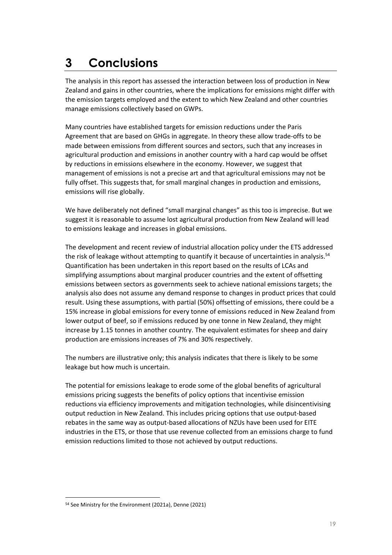# <span id="page-21-0"></span>**3 Conclusions**

The analysis in this report has assessed the interaction between loss of production in New Zealand and gains in other countries, where the implications for emissions might differ with the emission targets employed and the extent to which New Zealand and other countries manage emissions collectively based on GWPs.

Many countries have established targets for emission reductions under the Paris Agreement that are based on GHGs in aggregate. In theory these allow trade-offs to be made between emissions from different sources and sectors, such that any increases in agricultural production and emissions in another country with a hard cap would be offset by reductions in emissions elsewhere in the economy. However, we suggest that management of emissions is not a precise art and that agricultural emissions may not be fully offset. This suggests that, for small marginal changes in production and emissions, emissions will rise globally.

We have deliberately not defined "small marginal changes" as this too is imprecise. But we suggest it is reasonable to assume lost agricultural production from New Zealand will lead to emissions leakage and increases in global emissions.

The development and recent review of industrial allocation policy under the ETS addressed the risk of leakage without attempting to quantify it because of uncertainties in analysis.<sup>54</sup> Quantification has been undertaken in this report based on the results of LCAs and simplifying assumptions about marginal producer countries and the extent of offsetting emissions between sectors as governments seek to achieve national emissions targets; the analysis also does not assume any demand response to changes in product prices that could result. Using these assumptions, with partial (50%) offsetting of emissions, there could be a 15% increase in global emissions for every tonne of emissions reduced in New Zealand from lower output of beef, so if emissions reduced by one tonne in New Zealand, they might increase by 1.15 tonnes in another country. The equivalent estimates for sheep and dairy production are emissions increases of 7% and 30% respectively.

The numbers are illustrative only; this analysis indicates that there is likely to be some leakage but how much is uncertain.

The potential for emissions leakage to erode some of the global benefits of agricultural emissions pricing suggests the benefits of policy options that incentivise emission reductions via efficiency improvements and mitigation technologies, while disincentivising output reduction in New Zealand. This includes pricing options that use output-based rebates in the same way as output-based allocations of NZUs have been used for EITE industries in the ETS, or those that use revenue collected from an emissions charge to fund emission reductions limited to those not achieved by output reductions.

<sup>54</sup> See Ministry for the Environment (2021a), Denne (2021)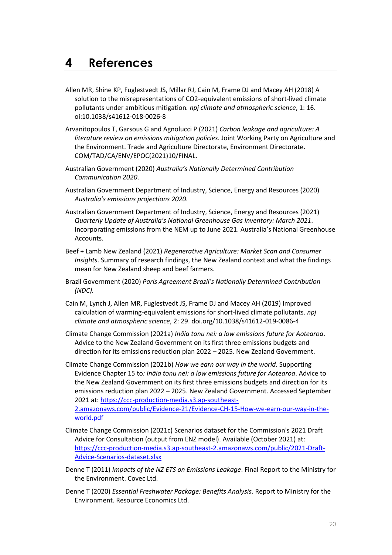# <span id="page-22-0"></span>**4 References**

- Allen MR, Shine KP, Fuglestvedt JS, Millar RJ, Cain M, Frame DJ and Macey AH (2018) A solution to the misrepresentations of CO2-equivalent emissions of short-lived climate pollutants under ambitious mitigation*. npj climate and atmospheric science*, 1: 16. oi:10.1038/s41612-018-0026-8
- Arvanitopoulos T, Garsous G and Agnolucci P (2021) *Carbon leakage and agriculture: A literature review on emissions mitigation policies.* Joint Working Party on Agriculture and the Environment. Trade and Agriculture Directorate, Environment Directorate. COM/TAD/CA/ENV/EPOC(2021)10/FINAL.
- Australian Government (2020) *Australia's Nationally Determined Contribution Communication 2020*.
- Australian Government Department of Industry, Science, Energy and Resources (2020) *Australia's emissions projections 2020.*
- Australian Government Department of Industry, Science, Energy and Resources (2021) *Quarterly Update of Australia's National Greenhouse Gas Inventory: March 2021*. Incorporating emissions from the NEM up to June 2021. Australia's National Greenhouse Accounts.
- Beef + Lamb New Zealand (2021) *Regenerative Agriculture: Market Scan and Consumer Insights*. Summary of research findings, the New Zealand context and what the findings mean for New Zealand sheep and beef farmers.
- Brazil Government (2020) *Paris Agreement Brazil's Nationally Determined Contribution (NDC).*
- Cain M, Lynch J, Allen MR, Fuglestvedt JS, Frame DJ and Macey AH (2019) Improved calculation of warming-equivalent emissions for short-lived climate pollutants. *npj climate and atmospheric science*, 2: 29. doi.org/10.1038/s41612-019-0086-4
- Climate Change Commission (2021a) *Ināia tonu nei: a low emissions future for Aotearoa*. Advice to the New Zealand Government on its first three emissions budgets and direction for its emissions reduction plan 2022 – 2025. New Zealand Government.
- Climate Change Commission (2021b) *How we earn our way in the world*. Supporting Evidence Chapter 15 to*: Ināia tonu nei: a low emissions future for Aotearoa*. Advice to the New Zealand Government on its first three emissions budgets and direction for its emissions reduction plan 2022 – 2025. New Zealand Government. Accessed September 2021 at[: https://ccc-production-media.s3.ap-southeast-](https://ccc-production-media.s3.ap-southeast-2.amazonaws.com/public/Evidence-21/Evidence-CH-15-How-we-earn-our-way-in-the-world.pdf)[2.amazonaws.com/public/Evidence-21/Evidence-CH-15-How-we-earn-our-way-in-the](https://ccc-production-media.s3.ap-southeast-2.amazonaws.com/public/Evidence-21/Evidence-CH-15-How-we-earn-our-way-in-the-world.pdf)[world.pdf](https://ccc-production-media.s3.ap-southeast-2.amazonaws.com/public/Evidence-21/Evidence-CH-15-How-we-earn-our-way-in-the-world.pdf)
- Climate Change Commission (2021c) Scenarios dataset for the Commission's 2021 Draft Advice for Consultation (output from ENZ model). Available (October 2021) at: [https://ccc-production-media.s3.ap-southeast-2.amazonaws.com/public/2021-Draft-](https://ccc-production-media.s3.ap-southeast-2.amazonaws.com/public/2021-Draft-Advice-Scenarios-dataset.xlsx)[Advice-Scenarios-dataset.xlsx](https://ccc-production-media.s3.ap-southeast-2.amazonaws.com/public/2021-Draft-Advice-Scenarios-dataset.xlsx)
- Denne T (2011) *Impacts of the NZ ETS on Emissions Leakage*. Final Report to the Ministry for the Environment. Covec Ltd.
- Denne T (2020) *Essential Freshwater Package: Benefits Analysis*. Report to Ministry for the Environment. Resource Economics Ltd.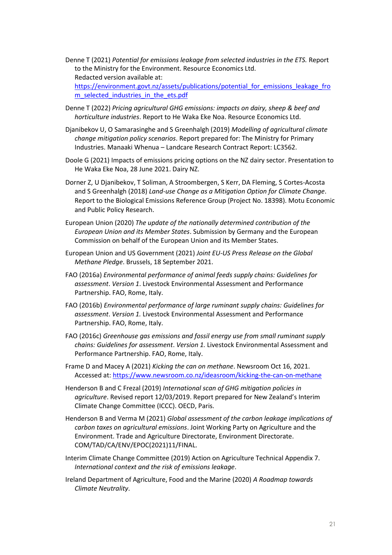Denne T (2021) *Potential for emissions leakage from selected industries in the ETS.* Report to the Ministry for the Environment. Resource Economics Ltd. Redacted version available at:

[https://environment.govt.nz/assets/publications/potential\\_for\\_emissions\\_leakage\\_fro](https://environment.govt.nz/assets/publications/potential_for_emissions_leakage_from_selected_industries_in_the_ets.pdf) [m\\_selected\\_industries\\_in\\_the\\_ets.pdf](https://environment.govt.nz/assets/publications/potential_for_emissions_leakage_from_selected_industries_in_the_ets.pdf)

- Denne T (2022) *Pricing agricultural GHG emissions: impacts on dairy, sheep & beef and horticulture industries*. Report to He Waka Eke Noa. Resource Economics Ltd.
- Djanibekov U, O Samarasinghe and S Greenhalgh (2019) *Modelling of agricultural climate change mitigation policy scenarios*. Report prepared for: The Ministry for Primary Industries. Manaaki Whenua – Landcare Research Contract Report: LC3562.
- Doole G (2021) Impacts of emissions pricing options on the NZ dairy sector. Presentation to He Waka Eke Noa, 28 June 2021. Dairy NZ.
- Dorner Z, U Djanibekov, T Soliman, A Stroombergen, S Kerr, DA Fleming, S Cortes-Acosta and S Greenhalgh (2018) *Land-use Change as a Mitigation Option for Climate Change*. Report to the Biological Emissions Reference Group (Project No. 18398). Motu Economic and Public Policy Research.
- European Union (2020) *The update of the nationally determined contribution of the European Union and its Member States*. Submission by Germany and the European Commission on behalf of the European Union and its Member States.
- European Union and US Government (2021) *Joint EU-US Press Release on the Global Methane Pledge*. Brussels, 18 September 2021.
- FAO (2016a) *Environmental performance of animal feeds supply chains: Guidelines for assessment*. *Version 1*. Livestock Environmental Assessment and Performance Partnership. FAO, Rome, Italy.
- FAO (2016b) *Environmental performance of large ruminant supply chains: Guidelines for assessment*. *Version 1.* Livestock Environmental Assessment and Performance Partnership. FAO, Rome, Italy.
- FAO (2016c) *Greenhouse gas emissions and fossil energy use from small ruminant supply chains: Guidelines for assessment*. *Version 1.* Livestock Environmental Assessment and Performance Partnership. FAO, Rome, Italy.
- Frame D and Macey A (2021) *Kicking the can on methane*. Newsroom Oct 16, 2021. Accessed at:<https://www.newsroom.co.nz/ideasroom/kicking-the-can-on-methane>
- Henderson B and C Frezal (2019) *International scan of GHG mitigation policies in agriculture*. Revised report 12/03/2019. Report prepared for New Zealand's Interim Climate Change Committee (ICCC). OECD, Paris.
- Henderson B and Verma M (2021) *Global assessment of the carbon leakage implications of carbon taxes on agricultural emissions*. Joint Working Party on Agriculture and the Environment. Trade and Agriculture Directorate, Environment Directorate. COM/TAD/CA/ENV/EPOC(2021)11/FINAL.
- Interim Climate Change Committee (2019) Action on Agriculture Technical Appendix 7. *International context and the risk of emissions leakage*.
- Ireland Department of Agriculture, Food and the Marine (2020) *A Roadmap towards Climate Neutrality*.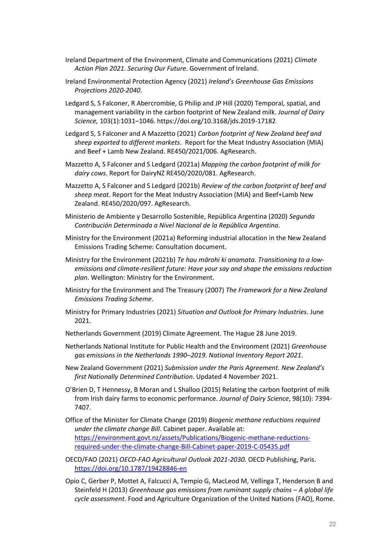- Ireland Department of the Environment, Climate and Communications (2021) *Climate Action Plan 2021. Securing Our Future*. Government of Ireland.
- Ireland Environmental Protection Agency (2021) *Ireland's Greenhouse Gas Emissions Projections 2020-2040*.
- Ledgard S, S Falconer, R Abercrombie, G Philip and JP Hill (2020) Temporal, spatial, and management variability in the carbon footprint of New Zealand milk. *Journal of Dairy Science,* 103(1):1031–1046. https://doi.org/10.3168/jds.2019-17182
- Ledgard S, S Falconer and A Mazzetto (2021) *Carbon footprint of New Zealand beef and sheep exported to different markets*. Report for the Meat Industry Association (MIA) and Beef + Lamb New Zealand. RE450/2021/006. AgResearch.
- Mazzetto A, S Falconer and S Ledgard (2021a) *Mapping the carbon footprint of milk for dairy cows*. Report for DairyNZ RE450/2020/081. AgResearch.
- Mazzetto A, S Falconer and S Ledgard (2021b) *Review of the carbon footprint of beef and sheep meat*. Report for the Meat Industry Association (MIA) and Beef+Lamb New Zealand. RE450/2020/097. AgResearch.
- Ministerio de Ambiente y Desarrollo Sostenible, República Argentina (2020) *Segunda Contribución Determinada a Nivel Nacional de la República Argentina*.
- Ministry for the Environment (2021a) Reforming industrial allocation in the New Zealand Emissions Trading Scheme: Consultation document.
- Ministry for the Environment (2021b) *Te hau mārohi ki anamata. Transitioning to a lowemissions and climate-resilient future: Have your say and shape the emissions reduction plan*. Wellington: Ministry for the Environment.
- Ministry for the Environment and The Treasury (2007) *The Framework for a New Zealand Emissions Trading Scheme*.
- Ministry for Primary Industries (2021) *Situation and Outlook for Primary Industries*. June 2021.
- Netherlands Government (2019) Climate Agreement. The Hague 28 June 2019.
- Netherlands National Institute for Public Health and the Environment (2021) *Greenhouse gas emissions in the Netherlands 1990–2019. National Inventory Report 2021*.
- New Zealand Government (2021) *Submission under the Paris Agreement. New Zealand's first Nationally Determined Contribution*. Updated 4 November 2021.
- O'Brien D, T Hennessy, B Moran and L Shalloo (2015) Relating the carbon footprint of milk from Irish dairy farms to economic performance. *Journal of Dairy Science*, 98(10): 7394- 7407.
- Office of the Minister for Climate Change (2019) *Biogenic methane reductions required under the climate change Bill*. Cabinet paper. Available at: [https://environment.govt.nz/assets/Publications/Biogenic-methane-reductions](https://environment.govt.nz/assets/Publications/Biogenic-methane-reductions-required-under-the-climate-change-Bill-Cabinet-paper-2019-C-05435.pdf)[required-under-the-climate-change-Bill-Cabinet-paper-2019-C-05435.pdf](https://environment.govt.nz/assets/Publications/Biogenic-methane-reductions-required-under-the-climate-change-Bill-Cabinet-paper-2019-C-05435.pdf)
- OECD/FAO (2021) *OECD-FAO Agricultural Outlook 2021-2030.* OECD Publishing, Paris. <https://doi.org/10.1787/19428846-en>
- Opio C, Gerber P, Mottet A, Falcucci A, Tempio G, MacLeod M, Vellinga T, Henderson B and Steinfeld H (2013) *Greenhouse gas emissions from ruminant supply chains – A global life cycle assessment*. Food and Agriculture Organization of the United Nations (FAO), Rome.